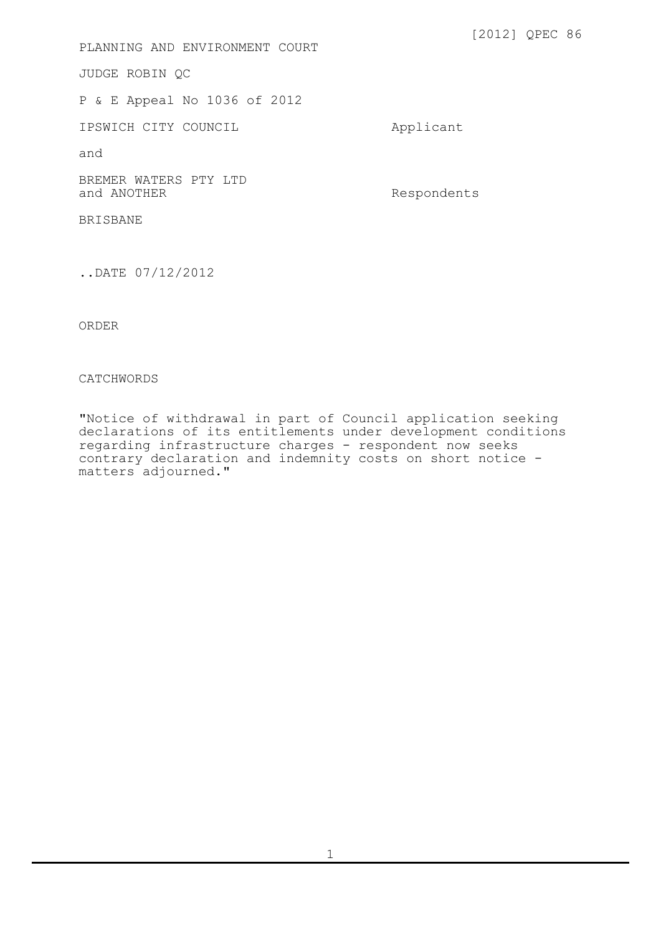PLANNING AND ENVIRONMENT COURT

JUDGE ROBIN QC

P & E Appeal No 1036 of 2012

IPSWICH CITY COUNCIL Applicant

and

BREMER WATERS PTY LTD<br>and ANOTHER

Respondents

BRISBANE

..DATE 07/12/2012

ORDER

## CATCHWORDS

"Notice of withdrawal in part of Council application seeking declarations of its entitlements under development conditions regarding infrastructure charges - respondent now seeks contrary declaration and indemnity costs on short notice matters adjourned."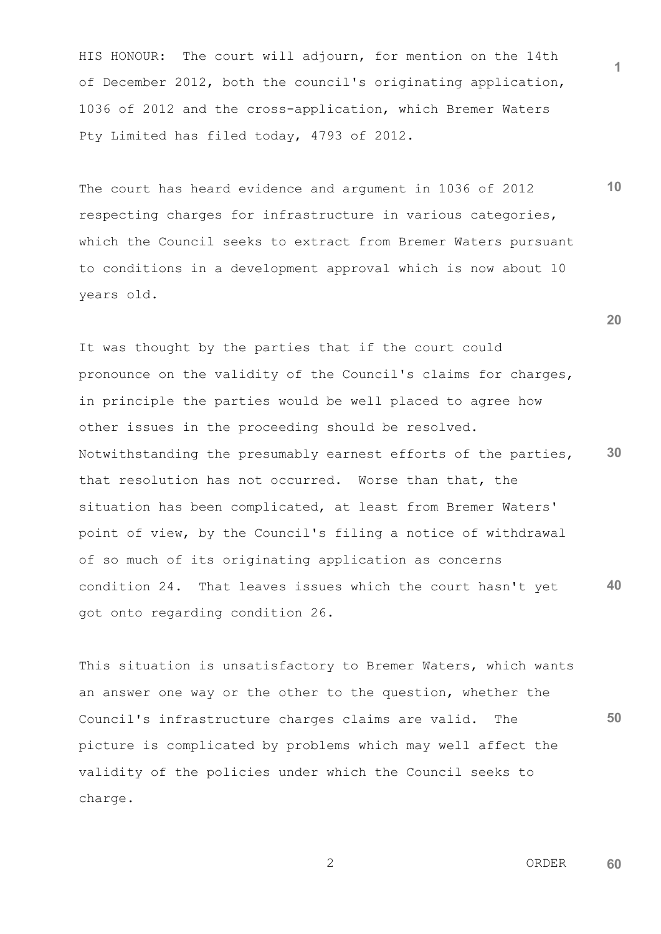HIS HONOUR: The court will adjourn, for mention on the 14th of December 2012, both the council's originating application, 1036 of 2012 and the cross-application, which Bremer Waters Pty Limited has filed today, 4793 of 2012.

The court has heard evidence and argument in 1036 of 2012 respecting charges for infrastructure in various categories, which the Council seeks to extract from Bremer Waters pursuant to conditions in a development approval which is now about 10 years old.

**30 40** It was thought by the parties that if the court could pronounce on the validity of the Council's claims for charges, in principle the parties would be well placed to agree how other issues in the proceeding should be resolved. Notwithstanding the presumably earnest efforts of the parties, that resolution has not occurred. Worse than that, the situation has been complicated, at least from Bremer Waters' point of view, by the Council's filing a notice of withdrawal of so much of its originating application as concerns condition 24. That leaves issues which the court hasn't yet got onto regarding condition 26.

**50** This situation is unsatisfactory to Bremer Waters, which wants an answer one way or the other to the question, whether the Council's infrastructure charges claims are valid. The picture is complicated by problems which may well affect the validity of the policies under which the Council seeks to charge.

 2 ORDER **60**

**1**

**10**

**20**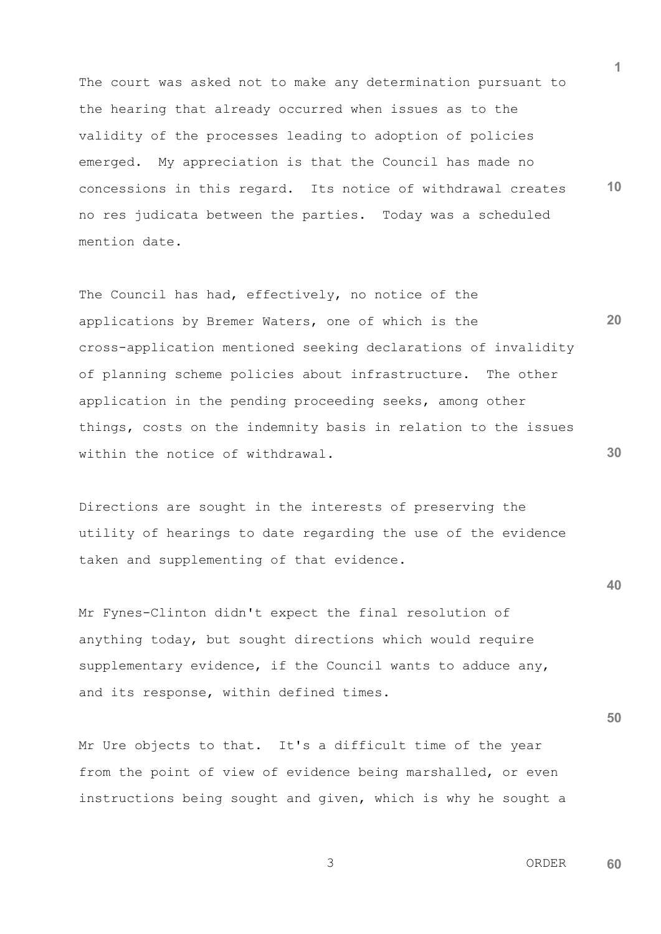**10** The court was asked not to make any determination pursuant to the hearing that already occurred when issues as to the validity of the processes leading to adoption of policies emerged. My appreciation is that the Council has made no concessions in this regard. Its notice of withdrawal creates no res judicata between the parties. Today was a scheduled mention date.

**20 30** The Council has had, effectively, no notice of the applications by Bremer Waters, one of which is the cross-application mentioned seeking declarations of invalidity of planning scheme policies about infrastructure. The other application in the pending proceeding seeks, among other things, costs on the indemnity basis in relation to the issues within the notice of withdrawal.

Directions are sought in the interests of preserving the utility of hearings to date regarding the use of the evidence taken and supplementing of that evidence.

Mr Fynes-Clinton didn't expect the final resolution of anything today, but sought directions which would require supplementary evidence, if the Council wants to adduce any, and its response, within defined times.

Mr Ure objects to that. It's a difficult time of the year from the point of view of evidence being marshalled, or even instructions being sought and given, which is why he sought a **40**

**50**

**1**

 3 ORDER **60**